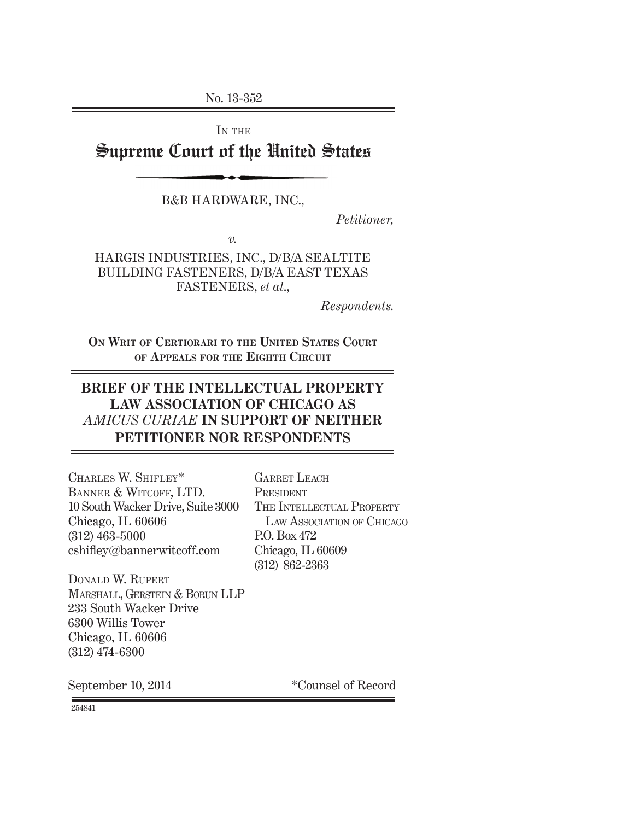No. 13-352

IN THE

Supreme Court of the United States

B&B HARDWARE, INC.,

*Petitioner,*

*v.*

HARGIS INDUSTRIES, INC., D/B/A SEALTITE BUILDING FASTENERS, D/B/A EAST TEXAS FASTENERS, *et al*.,

*Respondents.*

**ON WRIT OF CERTIORARI TO THE UNITED STATES COURT OF APPEALS FOR THE EIGHTH CIRCUIT**

### **BRIEF OF THE INTELLECTUAL PROPERTY LAW ASSOCIATION OF CHICAGO AS**  *AMICUS CURIAE* **IN SUPPORT OF NEITHER PETITIONER NOR RESPONDENTS**

CHARLES W. SHIFLEY\* BANNER & WITCOFF, LTD. 10 South Wacker Drive, Suite 3000 Chicago, IL 60606 (312) 463-5000  $cshiftey@bannerwitcoff.com$ 

GARRET LEACH PRESIDENT THE INTELLECTUAL PROPERTY LAW ASSOCIATION OF CHICAGO P.O. Box 472 Chicago, IL 60609 (312) 862-2363

DONALD W. RUPERT MARSHALL, GERSTEIN & BORUN LLP 233 South Wacker Drive 6300 Willis Tower Chicago, IL 60606 (312) 474-6300

September 10, 2014 \*Counsel of Record

254841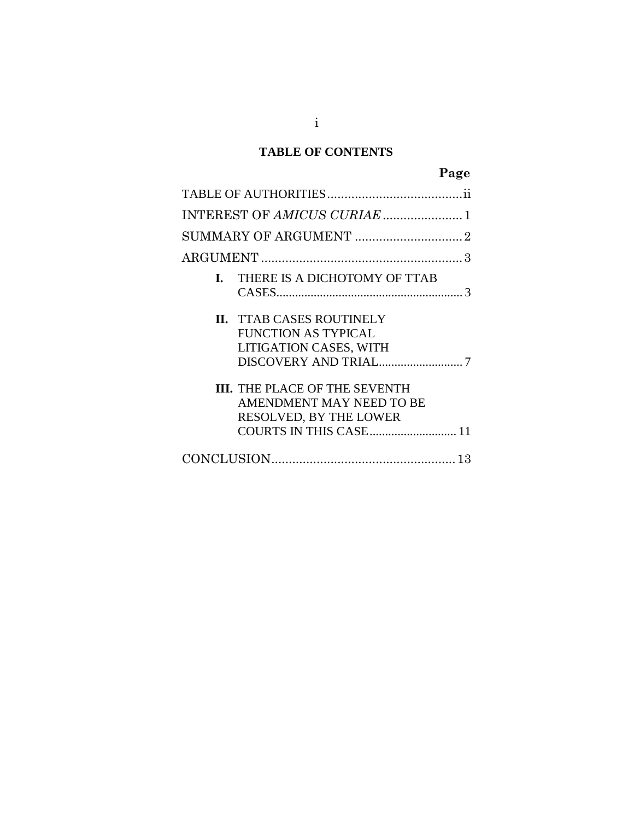### **TABLE OF CONTENTS**

# **Page**

|  | <b>I.</b> THERE IS A DICHOTOMY OF TTAB                                                                               |  |
|--|----------------------------------------------------------------------------------------------------------------------|--|
|  | <b>II. TTAB CASES ROUTINELY</b><br><b>FUNCTION AS TYPICAL</b><br>LITIGATION CASES, WITH                              |  |
|  | <b>III.</b> THE PLACE OF THE SEVENTH<br>AMENDMENT MAY NEED TO BE<br>RESOLVED, BY THE LOWER<br>COURTS IN THIS CASE 11 |  |
|  |                                                                                                                      |  |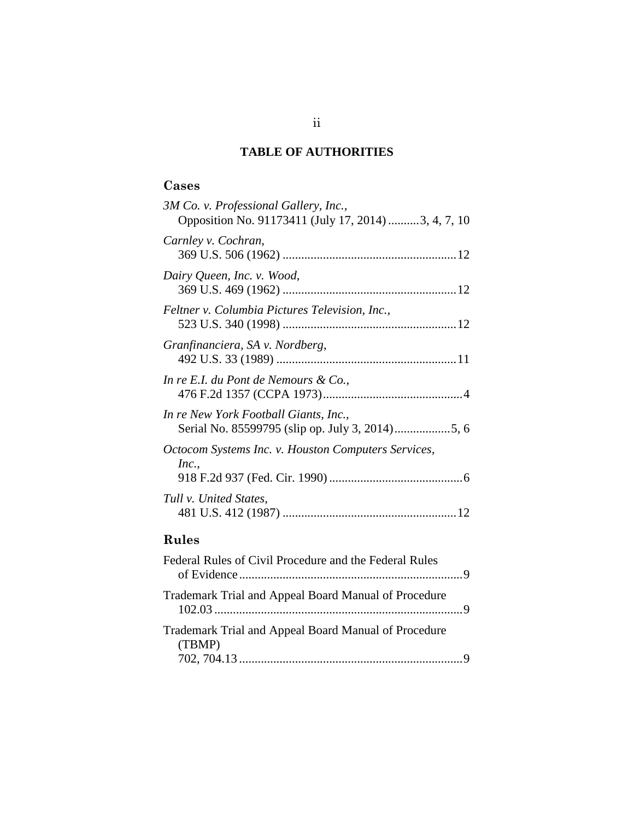### **TABLE OF AUTHORITIES**

# <span id="page-2-0"></span>**Cases**

| 3M Co. v. Professional Gallery, Inc.,<br>Opposition No. 91173411 (July 17, 2014) 3, 4, 7, 10 |
|----------------------------------------------------------------------------------------------|
| Carnley v. Cochran,                                                                          |
| Dairy Queen, Inc. v. Wood,                                                                   |
| Feltner v. Columbia Pictures Television, Inc.,                                               |
| Granfinanciera, SA v. Nordberg,                                                              |
| In re E.I. du Pont de Nemours & Co.,                                                         |
| In re New York Football Giants, Inc.,                                                        |
| Octocom Systems Inc. v. Houston Computers Services,<br>Inc.,                                 |
| Tull v. United States,                                                                       |

# **Rules**

| Federal Rules of Civil Procedure and the Federal Rules         |  |
|----------------------------------------------------------------|--|
| Trademark Trial and Appeal Board Manual of Procedure           |  |
| Trademark Trial and Appeal Board Manual of Procedure<br>(TBMP) |  |
|                                                                |  |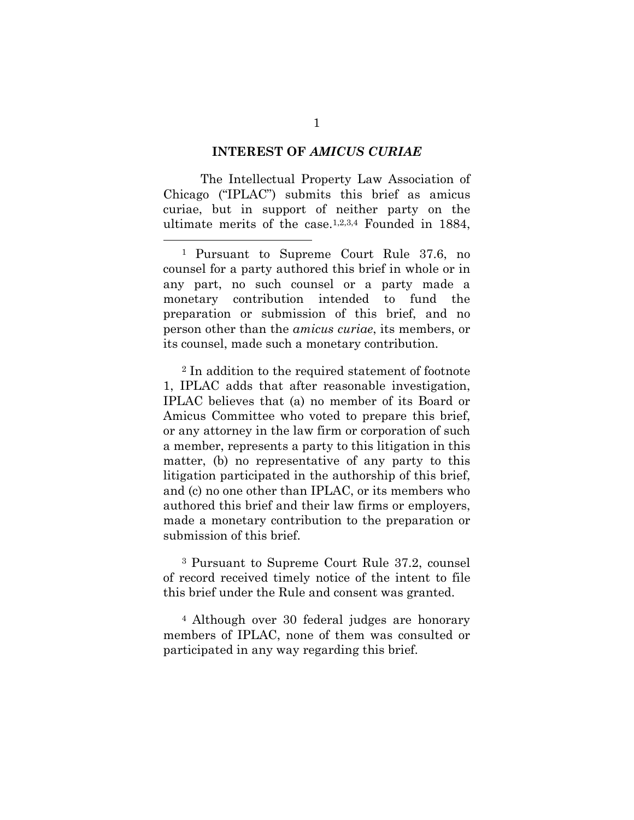#### **INTEREST OF** *AMICUS CURIAE*

<span id="page-3-0"></span>The Intellectual Property Law Association of Chicago ("IPLAC") submits this brief as amicus curiae, but in support of neither party on the ultimate merits of the case.1,2,3,4 Founded in 1884,

 1 Pursuant to Supreme Court Rule 37.6, no counsel for a party authored this brief in whole or in any part, no such counsel or a party made a monetary contribution intended to fund the preparation or submission of this brief, and no person other than the *amicus curiae*, its members, or its counsel, made such a monetary contribution.

<sup>2</sup> In addition to the required statement of footnote 1, IPLAC adds that after reasonable investigation, IPLAC believes that (a) no member of its Board or Amicus Committee who voted to prepare this brief, or any attorney in the law firm or corporation of such a member, represents a party to this litigation in this matter, (b) no representative of any party to this litigation participated in the authorship of this brief, and (c) no one other than IPLAC, or its members who authored this brief and their law firms or employers, made a monetary contribution to the preparation or submission of this brief.

<sup>3</sup> Pursuant to Supreme Court Rule 37.2, counsel of record received timely notice of the intent to file this brief under the Rule and consent was granted.

<sup>4</sup> Although over 30 federal judges are honorary members of IPLAC, none of them was consulted or participated in any way regarding this brief.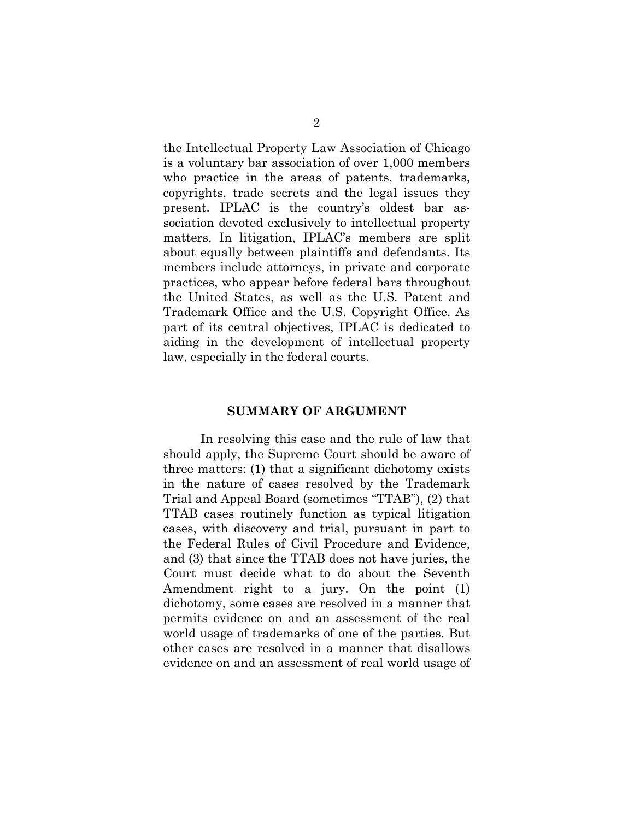the Intellectual Property Law Association of Chicago is a voluntary bar association of over 1,000 members who practice in the areas of patents, trademarks, copyrights, trade secrets and the legal issues they present. IPLAC is the country's oldest bar association devoted exclusively to intellectual property matters. In litigation, IPLAC's members are split about equally between plaintiffs and defendants. Its members include attorneys, in private and corporate practices, who appear before federal bars throughout the United States, as well as the U.S. Patent and Trademark Office and the U.S. Copyright Office. As part of its central objectives, IPLAC is dedicated to aiding in the development of intellectual property law, especially in the federal courts.

#### **SUMMARY OF ARGUMENT**

<span id="page-4-0"></span>In resolving this case and the rule of law that should apply, the Supreme Court should be aware of three matters: (1) that a significant dichotomy exists in the nature of cases resolved by the Trademark Trial and Appeal Board (sometimes "TTAB"), (2) that TTAB cases routinely function as typical litigation cases, with discovery and trial, pursuant in part to the Federal Rules of Civil Procedure and Evidence, and (3) that since the TTAB does not have juries, the Court must decide what to do about the Seventh Amendment right to a jury. On the point (1) dichotomy, some cases are resolved in a manner that permits evidence on and an assessment of the real world usage of trademarks of one of the parties. But other cases are resolved in a manner that disallows evidence on and an assessment of real world usage of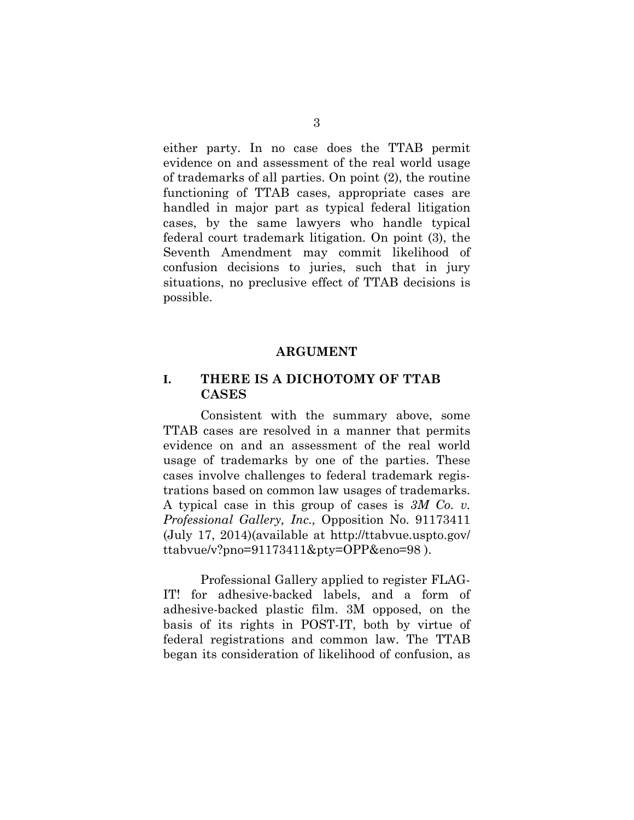either party. In no case does the TTAB permit evidence on and assessment of the real world usage of trademarks of all parties. On point (2), the routine functioning of TTAB cases, appropriate cases are handled in major part as typical federal litigation cases, by the same lawyers who handle typical federal court trademark litigation. On point (3), the Seventh Amendment may commit likelihood of confusion decisions to juries, such that in jury situations, no preclusive effect of TTAB decisions is possible.

#### **ARGUMENT**

#### <span id="page-5-1"></span><span id="page-5-0"></span>**I. THERE IS A DICHOTOMY OF TTAB CASES**

Consistent with the summary above, some TTAB cases are resolved in a manner that permits evidence on and an assessment of the real world usage of trademarks by one of the parties. These cases involve challenges to federal trademark registrations based on common law usages of trademarks. A typical case in this group of cases is *3M Co. v. Professional Gallery, Inc.,* Opposition No. 91173411 (July 17, 2014)(available at [http://ttabvue.uspto.gov/](http://ttabvue.uspto.gov/%20ttabvue/v?pno=91173411&pty=OPP&eno=98)  [ttabvue/v?pno=91173411&pty=OPP&eno=98](http://ttabvue.uspto.gov/%20ttabvue/v?pno=91173411&pty=OPP&eno=98) ).

Professional Gallery applied to register FLAG-IT! for adhesive-backed labels, and a form of adhesive-backed plastic film. 3M opposed, on the basis of its rights in POST-IT, both by virtue of federal registrations and common law. The TTAB began its consideration of likelihood of confusion, as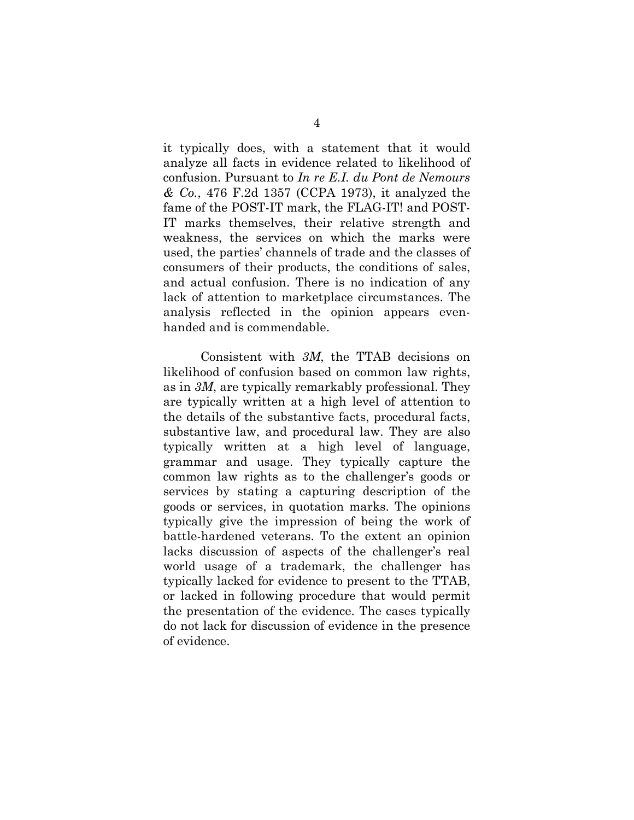it typically does, with a statement that it would analyze all facts in evidence related to likelihood of confusion. Pursuant to *In re E.I. du Pont de Nemours & Co.*, 476 F.2d 1357 (CCPA 1973), it analyzed the fame of the POST-IT mark, the FLAG-IT! and POST-IT marks themselves, their relative strength and weakness, the services on which the marks were used, the parties' channels of trade and the classes of consumers of their products, the conditions of sales, and actual confusion. There is no indication of any lack of attention to marketplace circumstances. The analysis reflected in the opinion appears evenhanded and is commendable.

Consistent with *3M*, the TTAB decisions on likelihood of confusion based on common law rights, as in *3M*, are typically remarkably professional. They are typically written at a high level of attention to the details of the substantive facts, procedural facts, substantive law, and procedural law. They are also typically written at a high level of language, grammar and usage. They typically capture the common law rights as to the challenger's goods or services by stating a capturing description of the goods or services, in quotation marks. The opinions typically give the impression of being the work of battle-hardened veterans. To the extent an opinion lacks discussion of aspects of the challenger's real world usage of a trademark, the challenger has typically lacked for evidence to present to the TTAB, or lacked in following procedure that would permit the presentation of the evidence. The cases typically do not lack for discussion of evidence in the presence of evidence.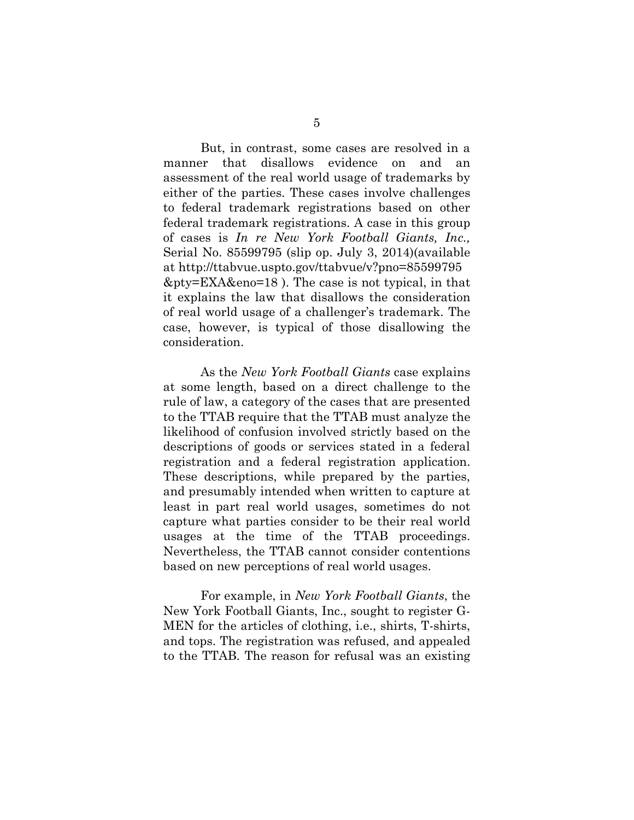But, in contrast, some cases are resolved in a manner that disallows evidence on and an assessment of the real world usage of trademarks by either of the parties. These cases involve challenges to federal trademark registrations based on other federal trademark registrations. A case in this group of cases is *In re New York Football Giants, Inc.,*  Serial No. 85599795 (slip op. July 3, 2014)(available at [http://ttabvue.uspto.gov/ttabvue/v?pno=85599795](http://ttabvue.uspto.gov/ttabvue/v?pno=85599795%0b&pty=EXA&eno=18) [&pty=EXA&eno=18](http://ttabvue.uspto.gov/ttabvue/v?pno=85599795%0b&pty=EXA&eno=18) ). The case is not typical, in that it explains the law that disallows the consideration of real world usage of a challenger's trademark. The case, however, is typical of those disallowing the consideration.

As the *New York Football Giants* case explains at some length, based on a direct challenge to the rule of law, a category of the cases that are presented to the TTAB require that the TTAB must analyze the likelihood of confusion involved strictly based on the descriptions of goods or services stated in a federal registration and a federal registration application. These descriptions, while prepared by the parties, and presumably intended when written to capture at least in part real world usages, sometimes do not capture what parties consider to be their real world usages at the time of the TTAB proceedings. Nevertheless, the TTAB cannot consider contentions based on new perceptions of real world usages.

For example, in *New York Football Giants*, the New York Football Giants, Inc., sought to register G-MEN for the articles of clothing, i.e., shirts, T-shirts, and tops. The registration was refused, and appealed to the TTAB. The reason for refusal was an existing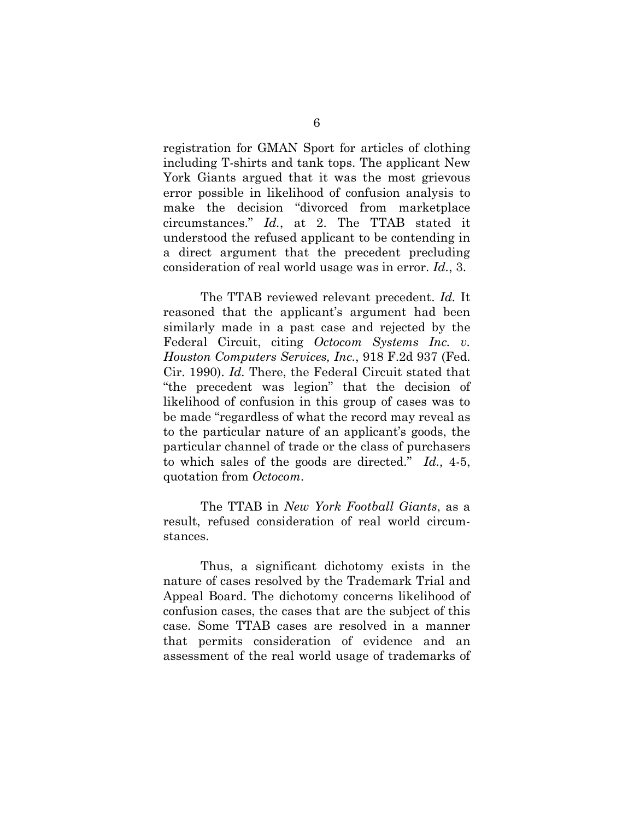registration for GMAN Sport for articles of clothing including T-shirts and tank tops. The applicant New York Giants argued that it was the most grievous error possible in likelihood of confusion analysis to make the decision "divorced from marketplace circumstances." *Id.*, at 2. The TTAB stated it understood the refused applicant to be contending in a direct argument that the precedent precluding consideration of real world usage was in error. *Id.*, 3.

The TTAB reviewed relevant precedent. *Id.* It reasoned that the applicant's argument had been similarly made in a past case and rejected by the Federal Circuit, citing *Octocom Systems Inc. v. Houston Computers Services, Inc.*, 918 F.2d 937 (Fed. Cir. 1990). *Id.* There, the Federal Circuit stated that "the precedent was legion" that the decision of likelihood of confusion in this group of cases was to be made "regardless of what the record may reveal as to the particular nature of an applicant's goods, the particular channel of trade or the class of purchasers to which sales of the goods are directed." *Id.,* 4-5, quotation from *Octocom*.

The TTAB in *New York Football Giants*, as a result, refused consideration of real world circumstances.

Thus, a significant dichotomy exists in the nature of cases resolved by the Trademark Trial and Appeal Board. The dichotomy concerns likelihood of confusion cases, the cases that are the subject of this case. Some TTAB cases are resolved in a manner that permits consideration of evidence and an assessment of the real world usage of trademarks of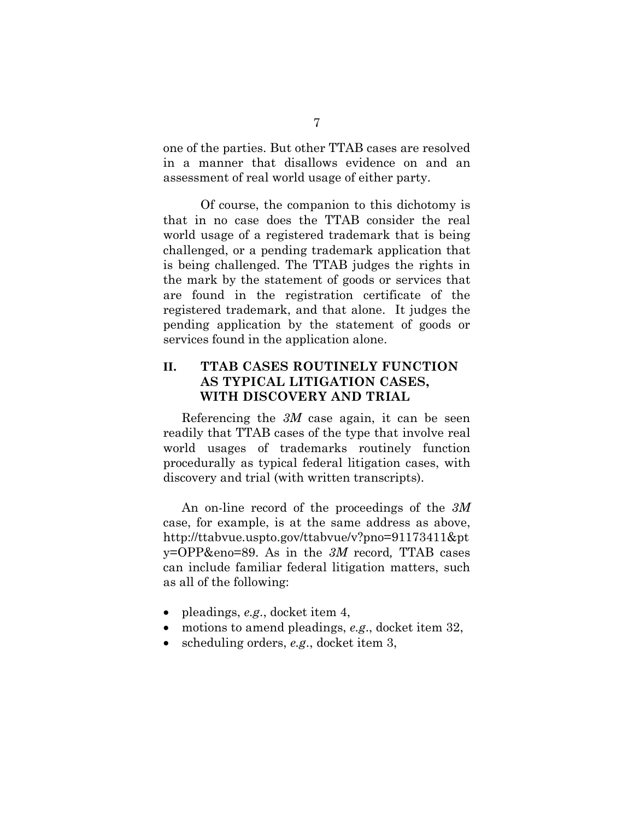one of the parties. But other TTAB cases are resolved in a manner that disallows evidence on and an assessment of real world usage of either party.

Of course, the companion to this dichotomy is that in no case does the TTAB consider the real world usage of a registered trademark that is being challenged, or a pending trademark application that is being challenged. The TTAB judges the rights in the mark by the statement of goods or services that are found in the registration certificate of the registered trademark, and that alone. It judges the pending application by the statement of goods or services found in the application alone.

### <span id="page-9-0"></span>**II. TTAB CASES ROUTINELY FUNCTION AS TYPICAL LITIGATION CASES, WITH DISCOVERY AND TRIAL**

Referencing the *3M* case again, it can be seen readily that TTAB cases of the type that involve real world usages of trademarks routinely function procedurally as typical federal litigation cases, with discovery and trial (with written transcripts).

An on-line record of the proceedings of the *3M* case, for example, is at the same address as above, [http://ttabvue.uspto.gov/ttabvue/v?pno=91173411&pt](http://ttabvue.uspto.gov/ttabvue/v?pno=91173411&pty=OPP&eno=89) [y=OPP&eno=89.](http://ttabvue.uspto.gov/ttabvue/v?pno=91173411&pty=OPP&eno=89) As in the *3M* record*,* TTAB cases can include familiar federal litigation matters, such as all of the following:

- pleadings, *e.g*., docket item 4,
- motions to amend pleadings, *e.g*., docket item 32,
- scheduling orders, *e.g*., docket item 3,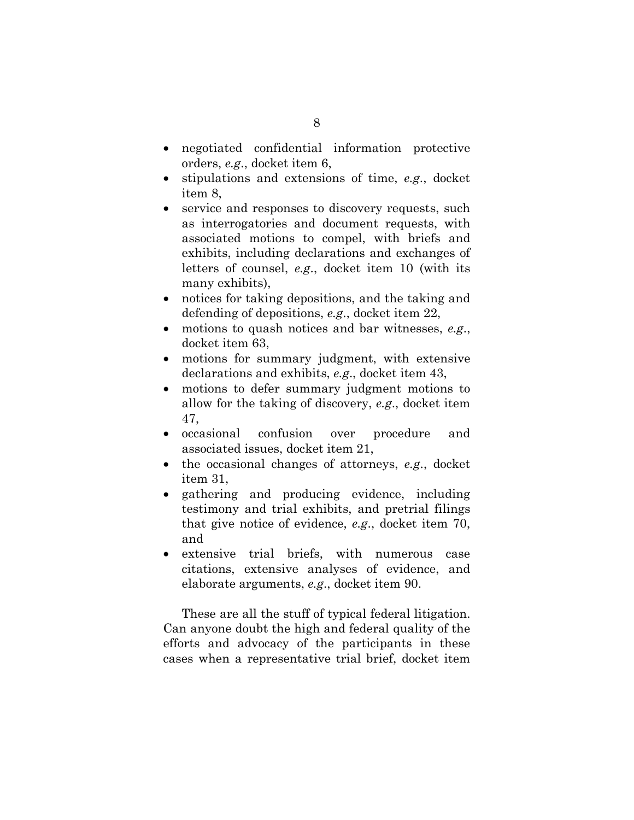- negotiated confidential information protective orders, *e.g*., docket item 6,
- stipulations and extensions of time, *e.g*., docket item 8,
- service and responses to discovery requests, such as interrogatories and document requests, with associated motions to compel, with briefs and exhibits, including declarations and exchanges of letters of counsel, *e.g*., docket item 10 (with its many exhibits),
- notices for taking depositions, and the taking and defending of depositions, *e.g*., docket item 22,
- motions to quash notices and bar witnesses, *e.g*., docket item 63,
- motions for summary judgment, with extensive declarations and exhibits, *e.g*., docket item 43,
- motions to defer summary judgment motions to allow for the taking of discovery, *e.g*., docket item 47,
- occasional confusion over procedure and associated issues, docket item 21,
- the occasional changes of attorneys, *e.g*., docket item 31,
- gathering and producing evidence, including testimony and trial exhibits, and pretrial filings that give notice of evidence, *e.g*., docket item 70, and
- extensive trial briefs, with numerous case citations, extensive analyses of evidence, and elaborate arguments, *e.g*., docket item 90.

These are all the stuff of typical federal litigation. Can anyone doubt the high and federal quality of the efforts and advocacy of the participants in these cases when a representative trial brief, docket item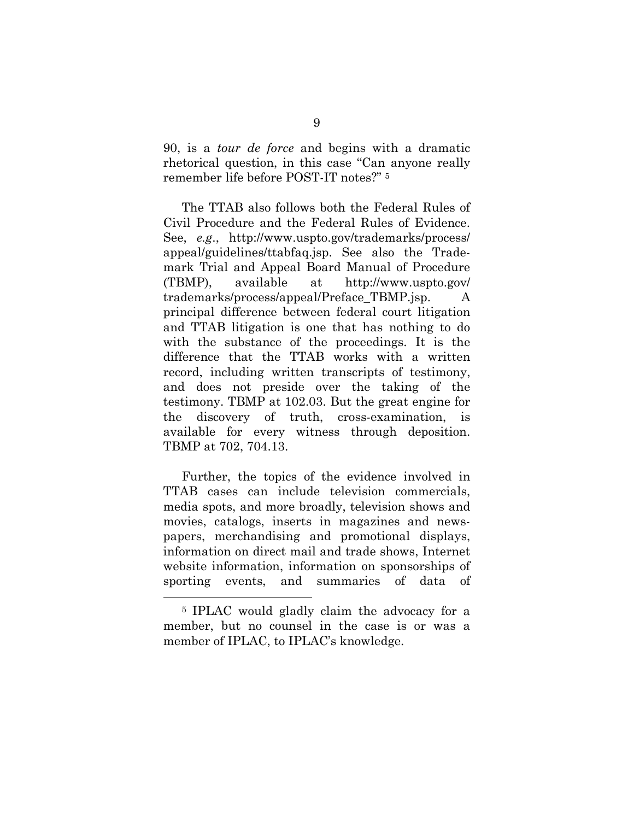90, is a *tour de force* and begins with a dramatic rhetorical question, in this case "Can anyone really remember life before POST-IT notes?" 5

The TTAB also follows both the Federal Rules of Civil Procedure and the Federal Rules of Evidence. See, *e.g*., [http://www.uspto.gov/trademarks/process/](http://www.uspto.gov/trademarks/process/%20appeal/guidelines/ttabfaq.jsp)  [appeal/guidelines/ttabfaq.jsp.](http://www.uspto.gov/trademarks/process/%20appeal/guidelines/ttabfaq.jsp) See also the Trademark Trial and Appeal Board Manual of Procedure (TBMP), available at [http://www.uspto.gov/](http://www.uspto.gov/%20trademarks/process/appeal/Preface_TBMP.jsp)  [trademarks/process/appeal/Preface\\_TBMP.jsp.](http://www.uspto.gov/%20trademarks/process/appeal/Preface_TBMP.jsp) A principal difference between federal court litigation and TTAB litigation is one that has nothing to do with the substance of the proceedings. It is the difference that the TTAB works with a written record, including written transcripts of testimony, and does not preside over the taking of the testimony. TBMP at 102.03. But the great engine for the discovery of truth, cross-examination, is available for every witness through deposition. TBMP at 702, 704.13.

Further, the topics of the evidence involved in TTAB cases can include television commercials, media spots, and more broadly, television shows and movies, catalogs, inserts in magazines and newspapers, merchandising and promotional displays, information on direct mail and trade shows, Internet website information, information on sponsorships of sporting events, and summaries of data of

 <sup>5</sup> IPLAC would gladly claim the advocacy for a member, but no counsel in the case is or was a member of IPLAC, to IPLAC's knowledge.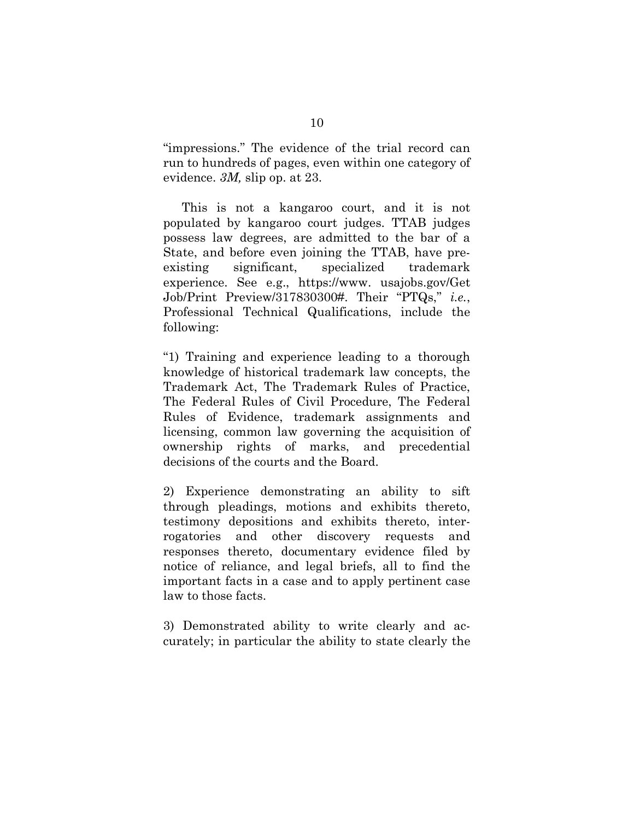"impressions." The evidence of the trial record can run to hundreds of pages, even within one category of evidence. *3M,* slip op. at 23.

This is not a kangaroo court, and it is not populated by kangaroo court judges. TTAB judges possess law degrees, are admitted to the bar of a State, and before even joining the TTAB, have preexisting significant, specialized trademark experience. See e.g., https://www. usajobs.gov/Get Job/Print Preview/317830300#. Their "PTQs," *i.e.*, Professional Technical Qualifications, include the following:

"1) Training and experience leading to a thorough knowledge of historical trademark law concepts, the Trademark Act, The Trademark Rules of Practice, The Federal Rules of Civil Procedure, The Federal Rules of Evidence, trademark assignments and licensing, common law governing the acquisition of ownership rights of marks, and precedential decisions of the courts and the Board.

2) Experience demonstrating an ability to sift through pleadings, motions and exhibits thereto, testimony depositions and exhibits thereto, interrogatories and other discovery requests and responses thereto, documentary evidence filed by notice of reliance, and legal briefs, all to find the important facts in a case and to apply pertinent case law to those facts.

3) Demonstrated ability to write clearly and accurately; in particular the ability to state clearly the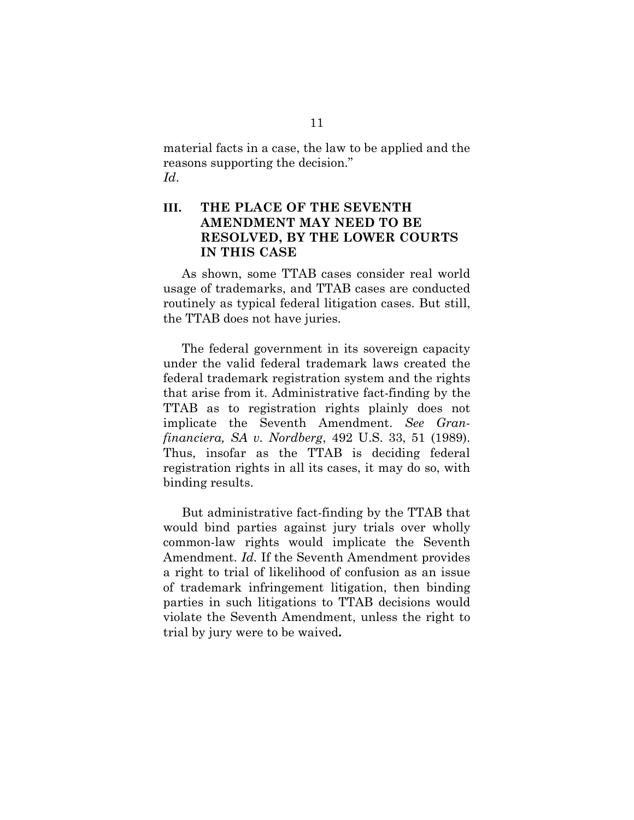material facts in a case, the law to be applied and the reasons supporting the decision." *Id*.

### <span id="page-13-0"></span>**III. THE PLACE OF THE SEVENTH AMENDMENT MAY NEED TO BE RESOLVED, BY THE LOWER COURTS IN THIS CASE**

As shown, some TTAB cases consider real world usage of trademarks, and TTAB cases are conducted routinely as typical federal litigation cases. But still, the TTAB does not have juries.

The federal government in its sovereign capacity under the valid federal trademark laws created the federal trademark registration system and the rights that arise from it. Administrative fact-finding by the TTAB as to registration rights plainly does not implicate the Seventh Amendment. *See Granfinanciera, SA v. Nordberg*, 492 U.S. 33, 51 (1989). Thus, insofar as the TTAB is deciding federal registration rights in all its cases, it may do so, with binding results.

But administrative fact-finding by the TTAB that would bind parties against jury trials over wholly common-law rights would implicate the Seventh Amendment. *Id.* If the Seventh Amendment provides a right to trial of likelihood of confusion as an issue of trademark infringement litigation, then binding parties in such litigations to TTAB decisions would violate the Seventh Amendment, unless the right to trial by jury were to be waived**.**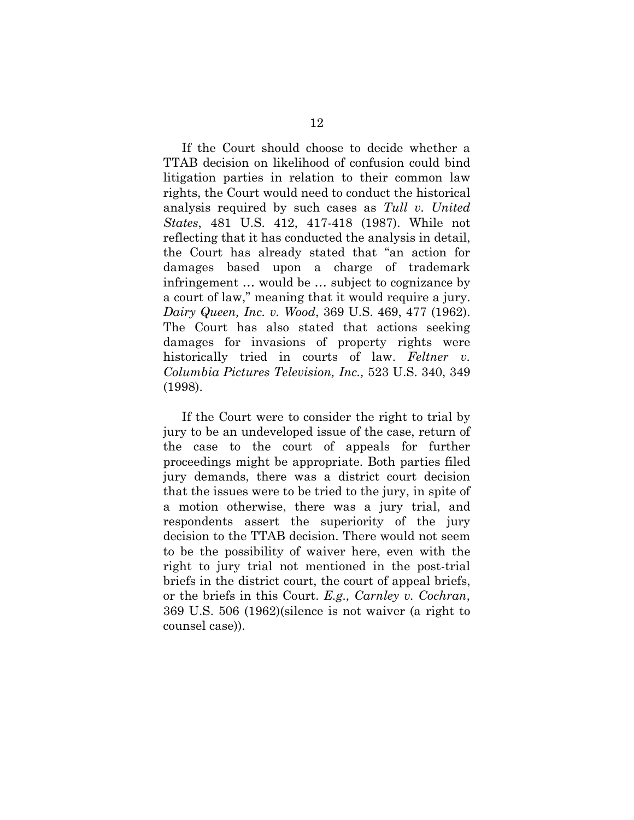If the Court should choose to decide whether a TTAB decision on likelihood of confusion could bind litigation parties in relation to their common law rights, the Court would need to conduct the historical analysis required by such cases as *Tull v. United States*, 481 U.S. 412, 417-418 (1987). While not reflecting that it has conducted the analysis in detail, the Court has already stated that "an action for damages based upon a charge of trademark infringement … would be … subject to cognizance by a court of law," meaning that it would require a jury. *Dairy Queen, Inc. v. Wood*, 369 U.S. 469, 477 (1962). The Court has also stated that actions seeking damages for invasions of property rights were historically tried in courts of law. *Feltner v. Columbia Pictures Television, Inc.,* 523 U.S. 340, 349 (1998).

If the Court were to consider the right to trial by jury to be an undeveloped issue of the case, return of the case to the court of appeals for further proceedings might be appropriate. Both parties filed jury demands, there was a district court decision that the issues were to be tried to the jury, in spite of a motion otherwise, there was a jury trial, and respondents assert the superiority of the jury decision to the TTAB decision. There would not seem to be the possibility of waiver here, even with the right to jury trial not mentioned in the post-trial briefs in the district court, the court of appeal briefs, or the briefs in this Court. *E.g., Carnley v. Cochran*, 369 U.S. 506 (1962)(silence is not waiver (a right to counsel case)).